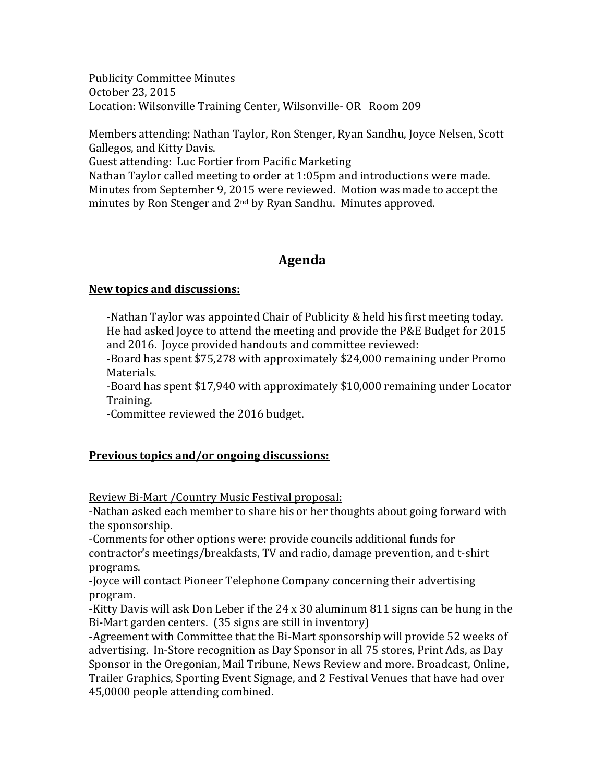Publicity Committee Minutes October 23, 2015 Location: Wilsonville Training Center, Wilsonville- OR Room 209

Members attending: Nathan Taylor, Ron Stenger, Ryan Sandhu, Joyce Nelsen, Scott Gallegos, and Kitty Davis.

Guest attending: Luc Fortier from Pacific Marketing

Nathan Taylor called meeting to order at 1:05pm and introductions were made. Minutes from September 9, 2015 were reviewed. Motion was made to accept the minutes by Ron Stenger and 2<sup>nd</sup> by Ryan Sandhu. Minutes approved.

# **Agenda**

# **New topics and discussions:**

-Nathan Taylor was appointed Chair of Publicity & held his first meeting today. He had asked Joyce to attend the meeting and provide the P&E Budget for 2015 and 2016. Joyce provided handouts and committee reviewed:

-Board has spent \$75,278 with approximately \$24,000 remaining under Promo Materials.

-Board has spent \$17,940 with approximately \$10,000 remaining under Locator Training.

-Committee reviewed the 2016 budget.

# **Previous topics and/or ongoing discussions:**

Review Bi-Mart /Country Music Festival proposal:

-Nathan asked each member to share his or her thoughts about going forward with the sponsorship.

-Comments for other options were: provide councils additional funds for contractor's meetings/breakfasts, TV and radio, damage prevention, and t-shirt programs.

-Joyce will contact Pioneer Telephone Company concerning their advertising program.

-Kitty Davis will ask Don Leber if the 24 x 30 aluminum 811 signs can be hung in the Bi-Mart garden centers. (35 signs are still in inventory)

-Agreement with Committee that the Bi-Mart sponsorship will provide 52 weeks of advertising. In-Store recognition as Day Sponsor in all 75 stores, Print Ads, as Day Sponsor in the Oregonian, Mail Tribune, News Review and more. Broadcast, Online, Trailer Graphics, Sporting Event Signage, and 2 Festival Venues that have had over 45,0000 people attending combined.